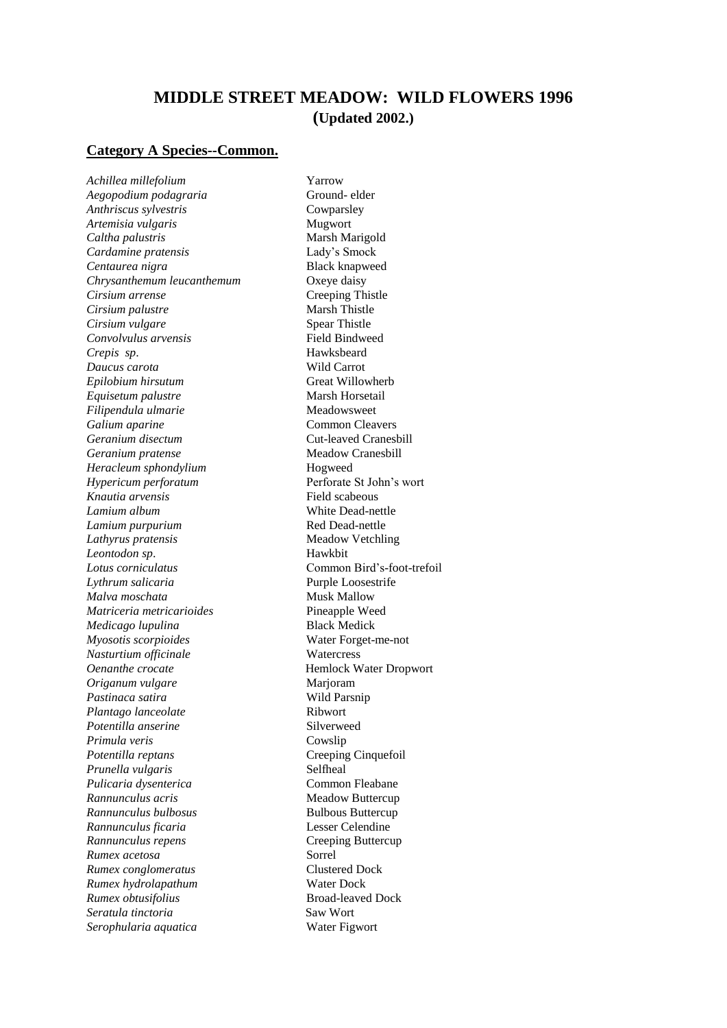# **MIDDLE STREET MEADOW: WILD FLOWERS 1996 (Updated 2002.)**

#### **Category A Species--Common.**

*Achillea millefolium*<br> *Aegopodium podagraria Aegopodium podagraria Aegopodium podagraria Aegopodium podagraria Aegopodium podagraria Aegopodium podagraria Aegopodium podagraria Aegopodium podag Aegopodium podagraria Anthriscus sylvestris* Cowparsley *Artemisia vulgaris* Mugwort<br> *Caltha palustris* Marsh Ma *Cardamine pratensis* Lady's Smock *Centaurea nigra* Black knapweed *Chrysanthemum leucanthemum* Oxeye daisy *Cirsium arrense* Creeping Thistle *Cirsium palustre* Marsh Thistle *Cirsium vulgare* **Marsh Thistle Spear Thistle** *Cirsium vulgare Convolvulus arvensis* Field Bindweed *Crepis sp*. Hawksbeard *Daucus carota* **Wild Carrot**<br> *Composition Epilobium hirsutum Composition Creat Willowherb Epilobium hirsutum*<br> *Equisetum palustre* **Equisetion Equisetion Equisetion Equisetion Equisetion Equisetion Equisetion Examplement Examplement Examplement Examplement Examplement Exam** *Equisetum palustre* and **Marsh Horseta**<br>
Filipendula ulmarie **Meadowsweet**  $Filipendula$ ulmarie *Galium aparine* Common Cleavers *Geranium disectum* Cut-leaved Cranesbill *Geranium pratense* Meadow Cranesbill *Heracleum sphondylium* Hogweed *Hypericum perforatum* Perforate St John's wort *Knautia arvensis* Field scabeous *Lamium album* White Dead-nettle *Lamium purpurium* Red Dead-nettle **Lathyrus pratensis** Meadow Vetchling *Leontodon sp*. Hawkbit *Lotus corniculatus* Common Bird's-foot-trefoil *Lythrum salicaria* Purple Loosestrife *Malva moschata* Musk Mallow *Matriceria metricarioides* Pineapple Weed *Medicago lupulina* Black Medick *Myosotis scorpioides* Water Forget-me-not *Nasturtium officinale* Watercress *Oenanthe crocate* Hemlock Water Dropwort *Origanum vulgare* Marjoram Pastinaca satira **Wild Parsnip** *Plantago lanceolate* Ribwort Potentilla anserine Silverweed *Primula veris* Cowslip *Potentilla reptans* Creeping Cinquefoil *Prunella vulgaris* Selfheal *Pulicaria dysenterica* Common Fleabane *Rannunculus acris* Meadow Buttercup *Rannunculus bulbosus* Bulbous Buttercup *Rannunculus ficaria* Lesser Celendine *Rannunculus repens* Creeping Buttercup *Rumex acetosa* Sorrel *Rumex conglomeratus* Clustered Dock *Rumex hydrolapathum* Water Dock *Rumex obtusifolius* Broad-leaved Dock *Seratula tinctoria* Saw Wort *Serophularia aquatica* Water Figwort

**Marsh Marigold**